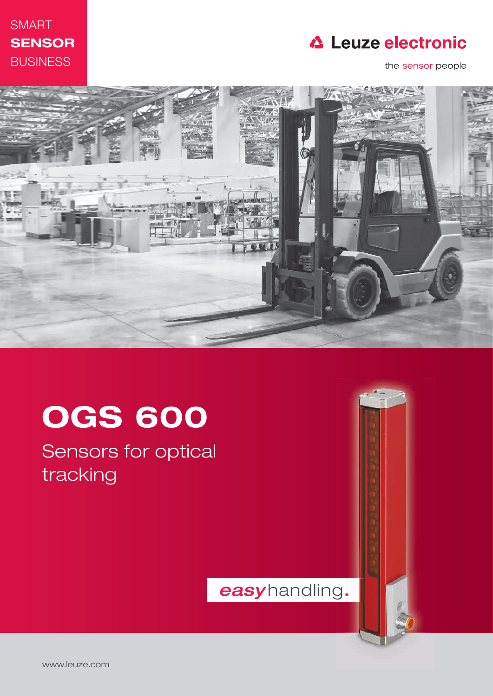

### **△ Leuze electronic**

the sensor people



# OGS 600

Sensors for optical tracking

easyhandling.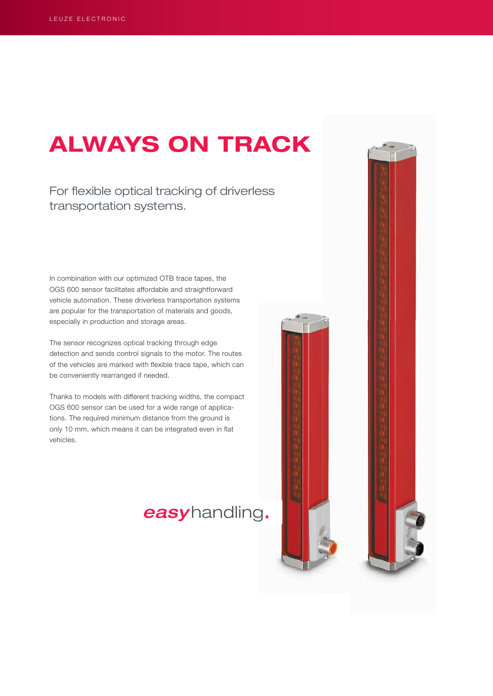### ALWAYS ON TRACK

For flexible optical tracking of driverless transportation systems.

In combination with our optimized OTB trace tapes, the OGS 600 sensor facilitates affordable and straightforward vehicle automation. These driverless transportation systems are popular for the transportation of materials and goods, especially in production and storage areas.

The sensor recognizes optical tracking through edge detection and sends control signals to the motor. The routes of the vehicles are marked with flexible trace tape, which can be conveniently rearranged if needed.

Thanks to models with different tracking widths, the compact OGS 600 sensor can be used for a wide range of applications. The required minimum distance from the ground is only 10 mm, which means it can be integrated even in flat vehicles.

### easyhandling.



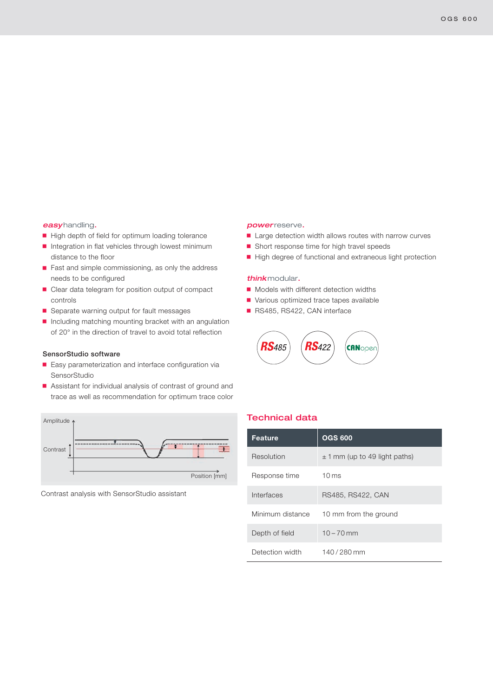#### easyhandling.

- High depth of field for optimum loading tolerance
- $\blacksquare$  Integration in flat vehicles through lowest minimum distance to the floor
- Fast and simple commissioning, as only the address needs to be configured
- $\blacksquare$  Clear data telegram for position output of compact controls
- Separate warning output for fault messages
- $\blacksquare$  Including matching mounting bracket with an angulation of 20° in the direction of travel to avoid total reflection

#### SensorStudio software

- $\blacksquare$  Easy parameterization and interface configuration via SensorStudio
- Assistant for individual analysis of contrast of ground and trace as well as recommendation for optimum trace color



Contrast analysis with SensorStudio assistant

#### power reserve.

- $\blacksquare$  Large detection width allows routes with narrow curves
- $\blacksquare$  Short response time for high travel speeds
- High degree of functional and extraneous light protection

#### think modular.

- $\blacksquare$  Models with different detection widths
- Various optimized trace tapes available
- RS485, RS422, CAN interface



| <b>Feature</b>   | <b>OGS 600</b>                    |
|------------------|-----------------------------------|
| Resolution       | $\pm$ 1 mm (up to 49 light paths) |
| Response time    | $10 \,\mathrm{ms}$                |
| Interfaces       | RS485, RS422, CAN                 |
| Minimum distance | 10 mm from the ground             |
| Depth of field   | $10 - 70$ mm                      |
| Detection width  | 140/280 mm                        |